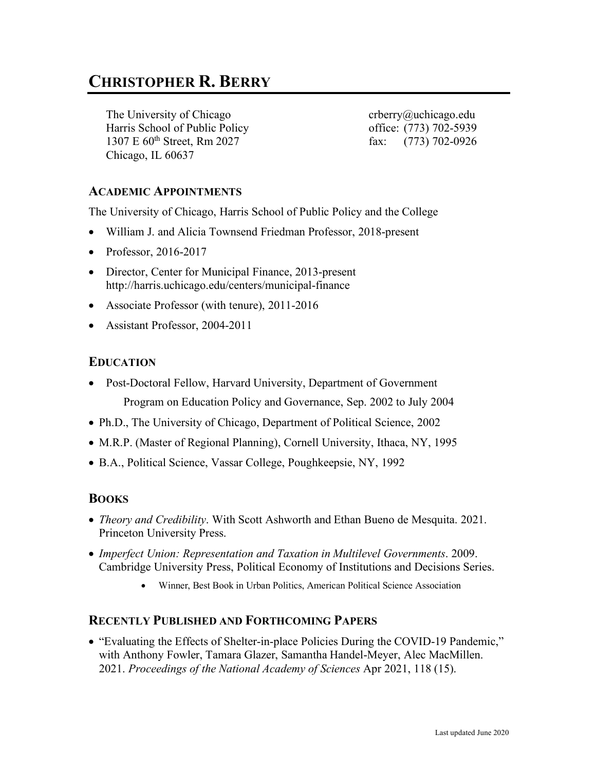# **CHRISTOPHER R. BERRY**

The University of Chicago crberry@uchicago.edu Harris School of Public Policy office: (773) 702-5939 1307 E 60<sup>th</sup> Street, Rm 2027 fax: (773) 702-0926 Chicago, IL 60637

## **ACADEMIC APPOINTMENTS**

The University of Chicago, Harris School of Public Policy and the College

- William J. and Alicia Townsend Friedman Professor, 2018-present
- Professor, 2016-2017
- Director, Center for Municipal Finance, 2013-present http://harris.uchicago.edu/centers/municipal-finance
- Associate Professor (with tenure), 2011-2016
- Assistant Professor, 2004-2011

### **EDUCATION**

- Post-Doctoral Fellow, Harvard University, Department of Government Program on Education Policy and Governance, Sep. 2002 to July 2004
- Ph.D., The University of Chicago, Department of Political Science, 2002
- M.R.P. (Master of Regional Planning), Cornell University, Ithaca, NY, 1995
- B.A., Political Science, Vassar College, Poughkeepsie, NY, 1992

### **BOOKS**

- *Theory and Credibility*. With Scott Ashworth and Ethan Bueno de Mesquita. 2021. Princeton University Press.
- *Imperfect Union: Representation and Taxation in Multilevel Governments*. 2009. Cambridge University Press, Political Economy of Institutions and Decisions Series.
	- Winner, Best Book in Urban Politics, American Political Science Association

### **RECENTLY PUBLISHED AND FORTHCOMING PAPERS**

• "Evaluating the Effects of Shelter-in-place Policies During the COVID-19 Pandemic," with Anthony Fowler, Tamara Glazer, Samantha Handel-Meyer, Alec MacMillen. 2021. *Proceedings of the National Academy of Sciences* Apr 2021, 118 (15).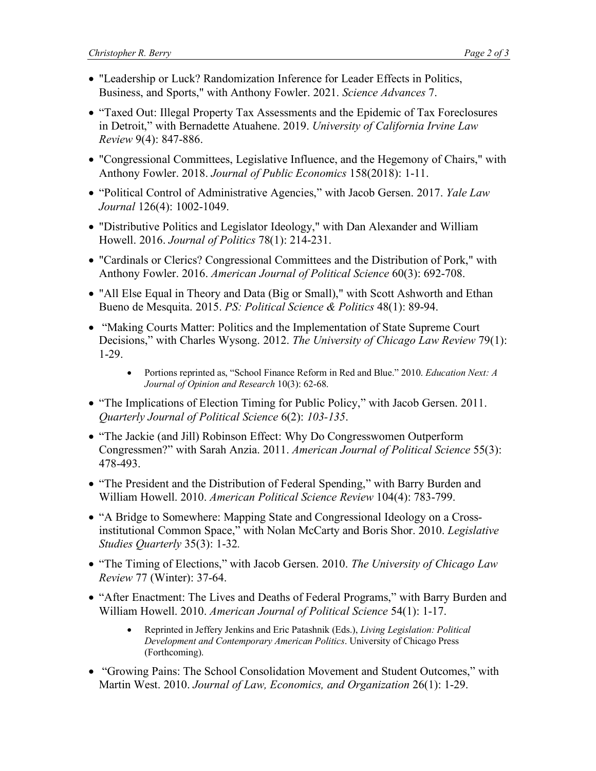- "Leadership or Luck? Randomization Inference for Leader Effects in Politics, Business, and Sports," with Anthony Fowler. 2021. *Science Advances* 7.
- "Taxed Out: Illegal Property Tax Assessments and the Epidemic of Tax Foreclosures in Detroit," with Bernadette Atuahene. 2019. *University of California Irvine Law Review* 9(4): 847-886.
- "Congressional Committees, Legislative Influence, and the Hegemony of Chairs," with Anthony Fowler. 2018. *Journal of Public Economics* 158(2018): 1-11.
- "Political Control of Administrative Agencies," with Jacob Gersen. 2017. *Yale Law Journal* 126(4): 1002-1049.
- "Distributive Politics and Legislator Ideology," with Dan Alexander and William Howell. 2016. *Journal of Politics* 78(1): 214-231.
- "Cardinals or Clerics? Congressional Committees and the Distribution of Pork," with Anthony Fowler. 2016. *American Journal of Political Science* 60(3): 692-708.
- "All Else Equal in Theory and Data (Big or Small)," with Scott Ashworth and Ethan Bueno de Mesquita. 2015. *PS: Political Science & Politics* 48(1): 89-94.
- "Making Courts Matter: Politics and the Implementation of State Supreme Court Decisions," with Charles Wysong. 2012. *The University of Chicago Law Review* 79(1): 1-29.
	- Portions reprinted as, "School Finance Reform in Red and Blue." 2010. *Education Next: A Journal of Opinion and Research* 10(3): 62-68.
- "The Implications of Election Timing for Public Policy," with Jacob Gersen. 2011. *Quarterly Journal of Political Science* 6(2): *103-135*.
- "The Jackie (and Jill) Robinson Effect: Why Do Congresswomen Outperform Congressmen?" with Sarah Anzia. 2011. *American Journal of Political Science* 55(3): 478-493.
- "The President and the Distribution of Federal Spending," with Barry Burden and William Howell. 2010. *American Political Science Review* 104(4): 783-799.
- "A Bridge to Somewhere: Mapping State and Congressional Ideology on a Crossinstitutional Common Space," with Nolan McCarty and Boris Shor. 2010. *Legislative Studies Quarterly* 35(3): 1-32*.*
- "The Timing of Elections," with Jacob Gersen. 2010. *The University of Chicago Law Review* 77 (Winter): 37-64.
- "After Enactment: The Lives and Deaths of Federal Programs," with Barry Burden and William Howell. 2010. *American Journal of Political Science* 54(1): 1-17.
	- Reprinted in Jeffery Jenkins and Eric Patashnik (Eds.), *Living Legislation: Political Development and Contemporary American Politics*. University of Chicago Press (Forthcoming).
- "Growing Pains: The School Consolidation Movement and Student Outcomes," with Martin West. 2010. *Journal of Law, Economics, and Organization* 26(1): 1-29.